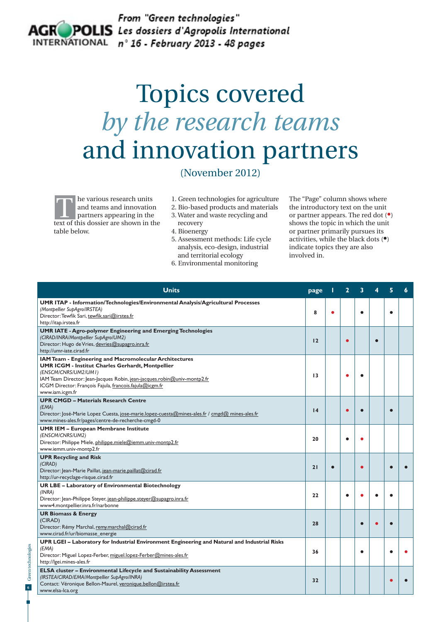

## Topics covered *by the research teams* and innovation partners

(November 2012)

he various research units and teams and innovation partners appearing in the the various research units<br>and teams and innovation<br>partners appearing in the<br>text of this dossier are shown in the table below.

- 1. Green technologies for agriculture
- 2. Bio-based products and materials 3. Water and waste recycling and
- recovery
- 4. Bioenergy
- 5. Assessment methods: Life cycle analysis, eco-design, industrial and territorial ecology
- 6. Environmental monitoring

The "Page" column shows where the introductory text on the unit or partner appears. The red dot (•) shows the topic in which the unit or partner primarily pursues its activities, while the black dots (•) indicate topics they are also involved in.

| <b>Units</b>                                                                                                                                                                                                                                                                                          | page            |   |           |           |           |  |
|-------------------------------------------------------------------------------------------------------------------------------------------------------------------------------------------------------------------------------------------------------------------------------------------------------|-----------------|---|-----------|-----------|-----------|--|
| <b>UMR ITAP - Information/Technologies/Environmental Analysis/Agricultural Processes</b><br>(Montpellier SupAgro/IRSTEA)<br>Director: Tewfik Sari, tewfik.sari@irstea.fr<br>http://itap.irstea.fr                                                                                                     | 8               | ٠ |           | $\bullet$ |           |  |
| <b>UMR IATE - Agro-polymer Engineering and Emerging Technologies</b><br>(CIRAD/INRA/Montpellier SupAgro/UM2)<br>Director: Hugo de Vries, devries@supagro.inra.fr<br>http://umr-iate.cirad.fr                                                                                                          | 12              |   | $\bullet$ |           | $\bullet$ |  |
| IAM Team - Engineering and Macromolecular Architectures<br><b>UMR ICGM - Institut Charles Gerhardt, Montpellier</b><br>(ENSCM/CNRS/UM2/UM1)<br>IAM Team Director: Jean-Jacques Robin, jean-jacques.robin@univ-montp2.fr<br>ICGM Director: François Fajula, francois.fajula@icgm.fr<br>www.iam.icgm.fr | 13              |   |           |           |           |  |
| <b>UPR CMGD - Materials Research Centre</b><br>(EMA)<br>Director: José-Marie Lopez Cuesta, jose-marie.lopez-cuesta@mines-ales.fr / cmgd@ mines-ales.fr<br>www.mines-ales.fr/pages/centre-de-recherche-cmgd-0                                                                                          | $\overline{14}$ |   |           |           |           |  |
| <b>UMR IEM - European Membrane Institute</b><br>(ENSCM/CNRS/UM2)<br>Director: Philippe Miele, philippe.miele@iemm.univ-montp2.fr<br>www.iemm.univ-montp2.fr                                                                                                                                           | 20              |   |           |           |           |  |
| <b>UPR Recycling and Risk</b><br>(CIRAD)<br>Director: Jean-Marie Paillat, jean-marie.paillat@cirad.fr<br>http://ur-recyclage-risque.cirad.fr                                                                                                                                                          | 21              |   |           |           |           |  |
| <b>UR LBE - Laboratory of Environmental Biotechnology</b><br>(INRA)<br>Director: Jean-Philippe Steyer, jean-philippe.steyer@supagro.inra.fr<br>www4.montpellier.inra.fr/narbonne                                                                                                                      | 22              |   | ٠         |           |           |  |
| <b>UR Biomass &amp; Energy</b><br>(CIRAD)<br>Director: Rémy Marchal, remy.marchal@cirad.fr<br>www.cirad.fr/ur/biomasse_energie                                                                                                                                                                        | 28              |   |           | $\bullet$ |           |  |
| UPR LGEI - Laboratory for Industrial Environment Engineering and Natural and Industrial Risks<br>(EMA)<br>Director: Miguel Lopez-Ferber, miguel.lopez-Ferber@mines-ales.fr<br>http://lgei.mines-ales.fr                                                                                               | 36              |   |           | ٠         |           |  |
| ELSA cluster - Environmental Lifecycle and Sustainability Assessment<br>(IRSTEA/CIRAD/EMA/Montpellier SupAgro/INRA)<br>Contact: Véronique Bellon-Maurel, veronique.bellon@irstea.fr<br>www.elsa-lca.org                                                                                               | 32              |   |           |           |           |  |